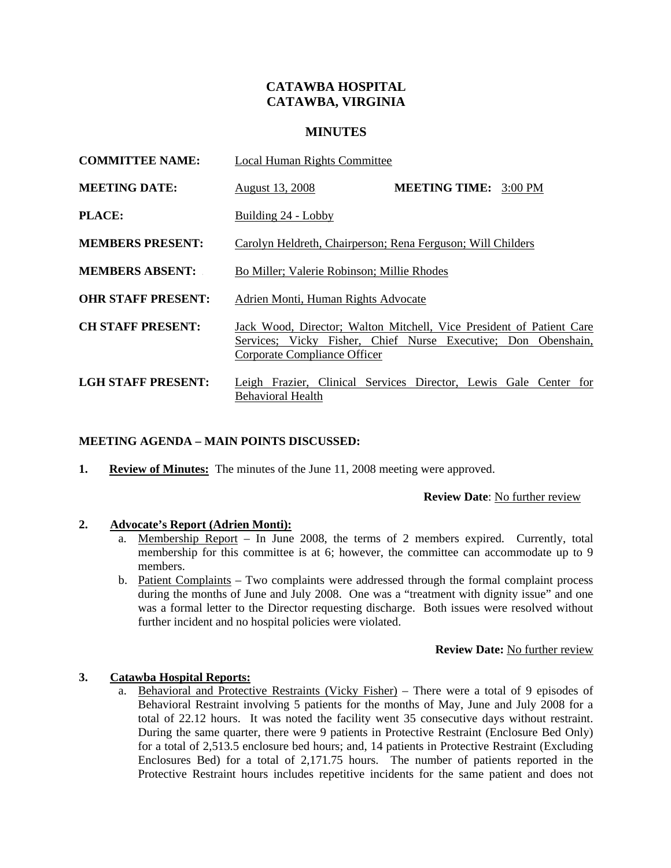# **CATAWBA HOSPITAL CATAWBA, VIRGINIA**

### **MINUTES**

| <b>COMMITTEE NAME:</b>    | <b>Local Human Rights Committee</b>                                                                                                                                   |
|---------------------------|-----------------------------------------------------------------------------------------------------------------------------------------------------------------------|
| <b>MEETING DATE:</b>      | <b>MEETING TIME: 3:00 PM</b><br>August 13, 2008                                                                                                                       |
| <b>PLACE:</b>             | Building 24 - Lobby                                                                                                                                                   |
| <b>MEMBERS PRESENT:</b>   | Carolyn Heldreth, Chairperson; Rena Ferguson; Will Childers                                                                                                           |
| <b>MEMBERS ABSENT:</b>    | Bo Miller; Valerie Robinson; Millie Rhodes                                                                                                                            |
| <b>OHR STAFF PRESENT:</b> | Adrien Monti, Human Rights Advocate                                                                                                                                   |
| <b>CH STAFF PRESENT:</b>  | Jack Wood, Director; Walton Mitchell, Vice President of Patient Care<br>Services; Vicky Fisher, Chief Nurse Executive; Don Obenshain,<br>Corporate Compliance Officer |
| LGH STAFF PRESENT:        | Leigh Frazier, Clinical Services Director, Lewis Gale Center for<br><b>Behavioral Health</b>                                                                          |

#### **MEETING AGENDA – MAIN POINTS DISCUSSED:**

**1.** Review of Minutes: The minutes of the June 11, 2008 meeting were approved.

### **Review Date**: No further review

#### **2. Advocate's Report (Adrien Monti):**

- a. Membership Report In June 2008, the terms of 2 members expired. Currently, total membership for this committee is at 6; however, the committee can accommodate up to 9 members.
- b. Patient Complaints Two complaints were addressed through the formal complaint process during the months of June and July 2008. One was a "treatment with dignity issue" and one was a formal letter to the Director requesting discharge. Both issues were resolved without further incident and no hospital policies were violated.

#### **Review Date:** No further review

#### **3. Catawba Hospital Reports:**

a. Behavioral and Protective Restraints (Vicky Fisher) – There were a total of 9 episodes of Behavioral Restraint involving 5 patients for the months of May, June and July 2008 for a total of 22.12 hours. It was noted the facility went 35 consecutive days without restraint. During the same quarter, there were 9 patients in Protective Restraint (Enclosure Bed Only) for a total of 2,513.5 enclosure bed hours; and, 14 patients in Protective Restraint (Excluding Enclosures Bed) for a total of 2,171.75 hours. The number of patients reported in the Protective Restraint hours includes repetitive incidents for the same patient and does not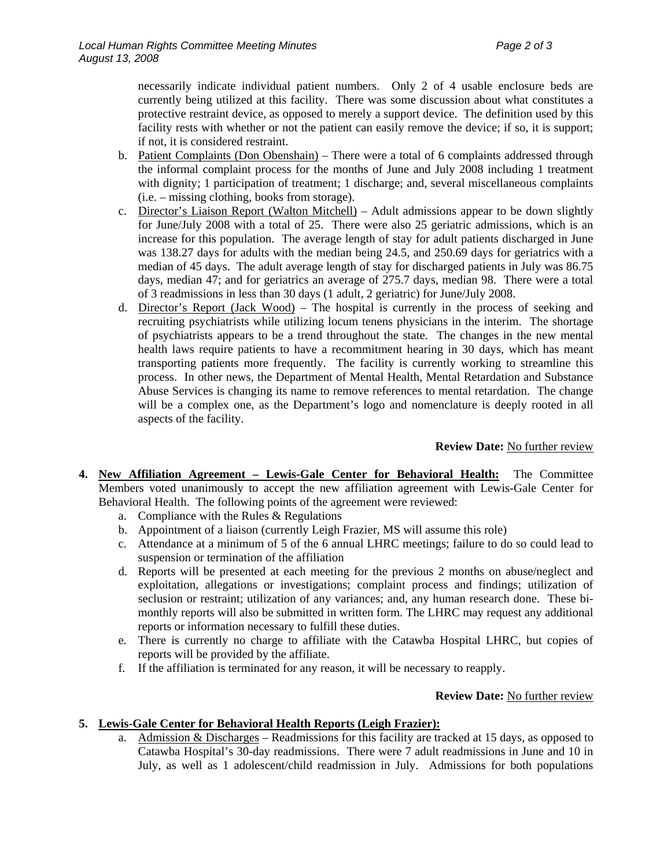necessarily indicate individual patient numbers. Only 2 of 4 usable enclosure beds are currently being utilized at this facility. There was some discussion about what constitutes a protective restraint device, as opposed to merely a support device. The definition used by this facility rests with whether or not the patient can easily remove the device; if so, it is support; if not, it is considered restraint.

- b. Patient Complaints (Don Obenshain) There were a total of 6 complaints addressed through the informal complaint process for the months of June and July 2008 including 1 treatment with dignity; 1 participation of treatment; 1 discharge; and, several miscellaneous complaints (i.e. – missing clothing, books from storage).
- c. Director's Liaison Report (Walton Mitchell) Adult admissions appear to be down slightly for June/July 2008 with a total of 25. There were also 25 geriatric admissions, which is an increase for this population. The average length of stay for adult patients discharged in June was 138.27 days for adults with the median being 24.5, and 250.69 days for geriatrics with a median of 45 days. The adult average length of stay for discharged patients in July was 86.75 days, median 47; and for geriatrics an average of 275.7 days, median 98. There were a total of 3 readmissions in less than 30 days (1 adult, 2 geriatric) for June/July 2008.
- d. Director's Report (Jack Wood) The hospital is currently in the process of seeking and recruiting psychiatrists while utilizing locum tenens physicians in the interim. The shortage of psychiatrists appears to be a trend throughout the state. The changes in the new mental health laws require patients to have a recommitment hearing in 30 days, which has meant transporting patients more frequently. The facility is currently working to streamline this process. In other news, the Department of Mental Health, Mental Retardation and Substance Abuse Services is changing its name to remove references to mental retardation. The change will be a complex one, as the Department's logo and nomenclature is deeply rooted in all aspects of the facility.

**Review Date:** No further review

- **4. New Affiliation Agreement Lewis-Gale Center for Behavioral Health:** The Committee Members voted unanimously to accept the new affiliation agreement with Lewis-Gale Center for Behavioral Health. The following points of the agreement were reviewed:
	- a. Compliance with the Rules & Regulations
	- b. Appointment of a liaison (currently Leigh Frazier, MS will assume this role)
	- c. Attendance at a minimum of 5 of the 6 annual LHRC meetings; failure to do so could lead to suspension or termination of the affiliation
	- d. Reports will be presented at each meeting for the previous 2 months on abuse/neglect and exploitation, allegations or investigations; complaint process and findings; utilization of seclusion or restraint; utilization of any variances; and, any human research done. These bimonthly reports will also be submitted in written form. The LHRC may request any additional reports or information necessary to fulfill these duties.
	- e. There is currently no charge to affiliate with the Catawba Hospital LHRC, but copies of reports will be provided by the affiliate.
	- f. If the affiliation is terminated for any reason, it will be necessary to reapply.

#### **Review Date:** No further review

## **5. Lewis-Gale Center for Behavioral Health Reports (Leigh Frazier):**

a. Admission & Discharges – Readmissions for this facility are tracked at 15 days, as opposed to Catawba Hospital's 30-day readmissions. There were 7 adult readmissions in June and 10 in July, as well as 1 adolescent/child readmission in July. Admissions for both populations